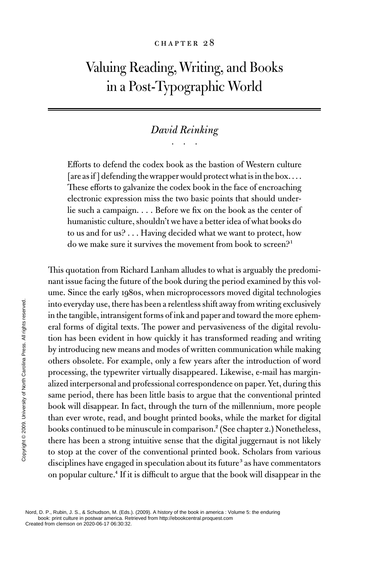#### CHAPTER 28

# Valuing Reading, Writing, and Books in a Post-Typographic World

## *David Reinking* . . .

Efforts to defend the codex book as the bastion of Western culture [are as if] defending the wrapper would protect what is in the box.... These efforts to galvanize the codex book in the face of encroaching electronic expression miss the two basic points that should underlie such a campaign. . . . Before we fix on the book as the center of humanistic culture, shouldn't we have a better idea of what books do to us and for us? . . . Having decided what we want to protect, how do we make sure it survives the movement from book to screen?<sup>1</sup>

This quotation from Richard Lanham alludes to what is arguably the predominant issue facing the future of the book during the period examined by this volume. Since the early 1980s, when microprocessors moved digital technologies into everyday use, there has been a relentless shift away from writing exclusively in the tangible, intransigent forms of ink and paper and toward the more ephemeral forms of digital texts. The power and pervasiveness of the digital revolution has been evident in how quickly it has transformed reading and writing by introducing new means and modes of written communication while making others obsolete. For example, only a few years after the introduction of word processing, the typewriter virtually disappeared. Likewise, e-mail has marginalized interpersonal and professional correspondence on paper. Yet, during this same period, there has been little basis to argue that the conventional printed book will disappear. In fact, through the turn of the millennium, more people than ever wrote, read, and bought printed books, while the market for digital books continued to be minuscule in comparison.<sup>2</sup> (See chapter 2.) Nonetheless, there has been a strong intuitive sense that the digital juggernaut is not likely to stop at the cover of the conventional printed book. Scholars from various disciplines have engaged in speculation about its future<sup>3</sup> as have commentators on popular culture.4 If it is difficult to argue that the book will disappear in the From contraction of discriptions of digital text<br>
in the tangible, intransig<br>
eral forms of digital text<br>
too has been evident in<br>
by introducing new mea<br>
others obsolete. For exa<br>
processing, the typewrit<br>
alized interpe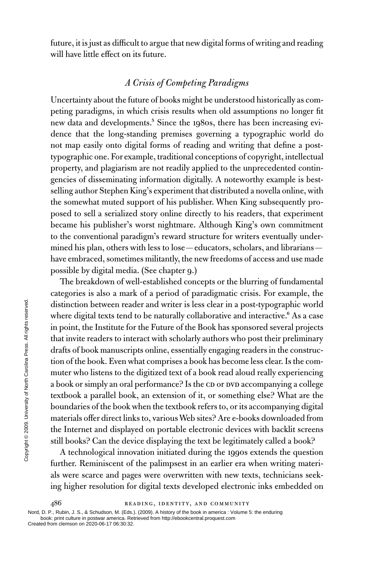future, it is just as difficult to argue that new digital forms of writing and reading will have little effect on its future.

### *A Crisis of Competing Paradigms*

Uncertainty about the future of books might be understood historically as competing paradigms, in which crisis results when old assumptions no longer fit new data and developments.<sup>5</sup> Since the 1980s, there has been increasing evidence that the long-standing premises governing a typographic world do not map easily onto digital forms of reading and writing that define a posttypographic one. For example, traditional conceptions of copyright, intellectual property, and plagiarism are not readily applied to the unprecedented contingencies of disseminating information digitally. A noteworthy example is bestselling author Stephen King's experiment that distributed a novella online, with the somewhat muted support of his publisher. When King subsequently proposed to sell a serialized story online directly to his readers, that experiment became his publisher's worst nightmare. Although King's own commitment to the conventional paradigm's reward structure for writers eventually undermined his plan, others with less to lose—educators, scholars, and librarians have embraced, sometimes militantly, the new freedoms of access and use made possible by digital media. (See chapter 9.)

The breakdown of well-established concepts or the blurring of fundamental categories is also a mark of a period of paradigmatic crisis. For example, the distinction between reader and writer is less clear in a post-typographic world where digital texts tend to be naturally collaborative and interactive.<sup>6</sup> As a case in point, the Institute for the Future of the Book has sponsored several projects that invite readers to interact with scholarly authors who post their preliminary drafts of book manuscripts online, essentially engaging readers in the construction of the book. Even what comprises a book has become less clear. Is the commuter who listens to the digitized text of a book read aloud really experiencing a book or simply an oral performance? Is the CD or DVD accompanying a college textbook a parallel book, an extension of it, or something else? What are the boundaries of the book when the textbook refers to, or its accompanying digital materials offer direct links to, various Web sites? Are e-books downloaded from the Internet and displayed on portable electronic devices with backlit screens still books? Can the device displaying the text be legitimately called a book? Example 12<br>
Solution of the Institute for that invite readers to interval of the Institute for that invite readers to interval of the book. Even we muter who listens to the a book or simply an oral textbook a parallel boo

A technological innovation initiated during the 1990s extends the question further. Reminiscent of the palimpsest in an earlier era when writing materials were scarce and pages were overwritten with new texts, technicians seeking higher resolution for digital texts developed electronic inks embedded on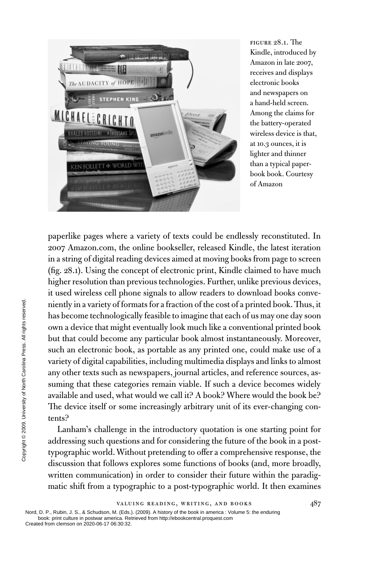

FIGURE 28.1. The Kindle, introduced by Amazon in late 2007, receives and displays electronic books and newspapers on a hand-held screen. Among the claims for the battery-operated wireless device is that, at 10.3 ounces, it is lighter and thinner than a typical paperbook book. Courtesy of Amazon

paperlike pages where a variety of texts could be endlessly reconstituted. In 2007 Amazon.com, the online bookseller, released Kindle, the latest iteration in a string of digital reading devices aimed at moving books from page to screen (fig. 28.1). Using the concept of electronic print, Kindle claimed to have much higher resolution than previous technologies. Further, unlike previous devices, it used wireless cell phone signals to allow readers to download books conveniently in a variety of formats for a fraction of the cost of a printed book. Thus, it has become technologically feasible to imagine that each of us may one day soon own a device that might eventually look much like a conventional printed book but that could become any particular book almost instantaneously. Moreover, such an electronic book, as portable as any printed one, could make use of a variety of digital capabilities, including multimedia displays and links to almost any other texts such as newspapers, journal articles, and reference sources, assuming that these categories remain viable. If such a device becomes widely available and used, what would we call it? A book? Where would the book be? The device itself or some increasingly arbitrary unit of its ever-changing contents? The movementation of the set of the set of the set of the set of the set of the set of the set of the set of the set of the set of the set of the set of the set of the set of the set of the set of the set of the set of th

Lanham's challenge in the introductory quotation is one starting point for addressing such questions and for considering the future of the book in a posttypographic world. Without pretending to offer a comprehensive response, the discussion that follows explores some functions of books (and, more broadly, written communication) in order to consider their future within the paradigmatic shift from a typographic to a post-typographic world. It then examines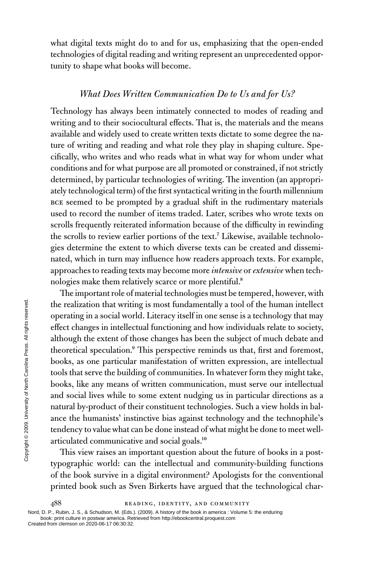what digital texts might do to and for us, emphasizing that the open-ended technologies of digital reading and writing represent an unprecedented opportunity to shape what books will become.

#### *What Does Written Communication Do to Us and for Us?*

Technology has always been intimately connected to modes of reading and writing and to their sociocultural effects. That is, the materials and the means available and widely used to create written texts dictate to some degree the nature of writing and reading and what role they play in shaping culture. Specifically, who writes and who reads what in what way for whom under what conditions and for what purpose are all promoted or constrained, if not strictly determined, by particular technologies of writing. The invention (an appropriately technological term) of the first syntactical writing in the fourth millennium BCE seemed to be prompted by a gradual shift in the rudimentary materials used to record the number of items traded. Later, scribes who wrote texts on scrolls frequently reiterated information because of the difficulty in rewinding the scrolls to review earlier portions of the text.<sup>7</sup> Likewise, available technologies determine the extent to which diverse texts can be created and disseminated, which in turn may influence how readers approach texts. For example, approaches to reading texts may become more *intensive* or *extensive* when technologies make them relatively scarce or more plentiful.8

The important role of material technologies must be tempered, however, with the realization that writing is most fundamentally a tool of the human intellect operating in a social world. Literacy itself in one sense is a technology that may effect changes in intellectual functioning and how individuals relate to society, although the extent of those changes has been the subject of much debate and theoretical speculation.9 This perspective reminds us that, first and foremost, books, as one particular manifestation of written expression, are intellectual tools that serve the building of communities. In whatever form they might take, books, like any means of written communication, must serve our intellectual and social lives while to some extent nudging us in particular directions as a natural by-product of their constituent technologies. Such a view holds in balance the humanists' instinctive bias against technology and the technophile's tendency to value what can be done instead of what might be done to meet wellarticulated communicative and social goals.<sup>10</sup> The realization that writinum<br>
operating in a social word<br>
effect changes in intellect<br>
although the extent of the theoretical speculation."<br>
books, as one particula<br>
tools that serve the build<br>
books, like any means c<br>
a

This view raises an important question about the future of books in a posttypographic world: can the intellectual and community-building functions of the book survive in a digital environment? Apologists for the conventional printed book such as Sven Birkerts have argued that the technological char-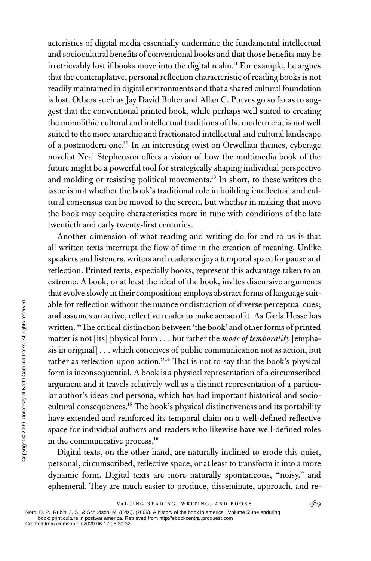acteristics of digital media essentially undermine the fundamental intellectual and sociocultural benefits of conventional books and that those benefits may be irretrievably lost if books move into the digital realm.<sup>11</sup> For example, he argues that the contemplative, personal reflection characteristic of reading books is not readily maintained in digital environments and that a shared cultural foundation is lost. Others such as Jay David Bolter and Allan C. Purves go so far as to suggest that the conventional printed book, while perhaps well suited to creating the monolithic cultural and intellectual traditions of the modern era, is not well suited to the more anarchic and fractionated intellectual and cultural landscape of a postmodern one.<sup>12</sup> In an interesting twist on Orwellian themes, cyberage novelist Neal Stephenson offers a vision of how the multimedia book of the future might be a powerful tool for strategically shaping individual perspective and molding or resisting political movements.<sup>13</sup> In short, to these writers the issue is not whether the book's traditional role in building intellectual and cultural consensus can be moved to the screen, but whether in making that move the book may acquire characteristics more in tune with conditions of the late twentieth and early twenty-first centuries.

Another dimension of what reading and writing do for and to us is that all written texts interrupt the flow of time in the creation of meaning. Unlike speakers and listeners, writers and readers enjoy a temporal space for pause and reflection. Printed texts, especially books, represent this advantage taken to an extreme. A book, or at least the ideal of the book, invites discursive arguments that evolve slowly in their composition; employs abstract forms of language suitable for reflection without the nuance or distraction of diverse perceptual cues; and assumes an active, reflective reader to make sense of it. As Carla Hesse has written, "The critical distinction between 'the book' and other forms of printed matter is not [its] physical form . . . but rather the *mode of temporality* [emphasis in original] . . . which conceives of public communication not as action, but rather as reflection upon action."14 That is not to say that the book's physical form is inconsequential. A book is a physical representation of a circumscribed argument and it travels relatively well as a distinct representation of a particular author's ideas and persona, which has had important historical and sociocultural consequences.15 The book's physical distinctiveness and its portability have extended and reinforced its temporal claim on a well-defined reflective space for individual authors and readers who likewise have well-defined roles in the communicative process.16 From contraction with and assumes an active, r<br>
written, "The critical dis<br>
matter is not [its] physic<br>
signal is moriginal]...which<br>
rather as reflection upon<br>
form is inconsequential.<br>
argument and it travels<br>
lar autho

Digital texts, on the other hand, are naturally inclined to erode this quiet, personal, circumscribed, reflective space, or at least to transform it into a more dynamic form. Digital texts are more naturally spontaneous, "noisy," and ephemeral. They are much easier to produce, disseminate, approach, and re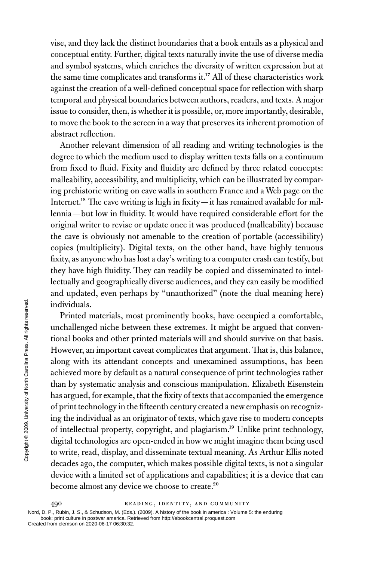vise, and they lack the distinct boundaries that a book entails as a physical and conceptual entity. Further, digital texts naturally invite the use of diverse media and symbol systems, which enriches the diversity of written expression but at the same time complicates and transforms it.<sup>17</sup> All of these characteristics work against the creation of a well-defined conceptual space for reflection with sharp temporal and physical boundaries between authors, readers, and texts. A major issue to consider, then, is whether it is possible, or, more importantly, desirable, to move the book to the screen in a way that preserves its inherent promotion of abstract reflection.

Another relevant dimension of all reading and writing technologies is the degree to which the medium used to display written texts falls on a continuum from fixed to fluid. Fixity and fluidity are defined by three related concepts: malleability, accessibility, and multiplicity, which can be illustrated by comparing prehistoric writing on cave walls in southern France and a Web page on the Internet.<sup>18</sup> The cave writing is high in fixity—it has remained available for millennia—but low in fluidity. It would have required considerable effort for the original writer to revise or update once it was produced (malleability) because the cave is obviously not amenable to the creation of portable (accessibility) copies (multiplicity). Digital texts, on the other hand, have highly tenuous fixity, as anyone who has lost a day's writing to a computer crash can testify, but they have high fluidity. They can readily be copied and disseminated to intellectually and geographically diverse audiences, and they can easily be modified and updated, even perhaps by "unauthorized" (note the dual meaning here) individuals.

Printed materials, most prominently books, have occupied a comfortable, unchallenged niche between these extremes. It might be argued that conventional books and other printed materials will and should survive on that basis. However, an important caveat complicates that argument. That is, this balance, along with its attendant concepts and unexamined assumptions, has been achieved more by default as a natural consequence of print technologies rather than by systematic analysis and conscious manipulation. Elizabeth Eisenstein has argued, for example, that the fixity of texts that accompanied the emergence of print technology in the fifteenth century created a new emphasis on recognizing the individual as an originator of texts, which gave rise to modern concepts of intellectual property, copyright, and plagiarism.19 Unlike print technology, digital technologies are open-ended in how we might imagine them being used to write, read, display, and disseminate textual meaning. As Arthur Ellis noted decades ago, the computer, which makes possible digital texts, is not a singular device with a limited set of applications and capabilities; it is a device that can become almost any device we choose to create.<sup>20</sup> Example the materials, moved.<br>
Example the materials of the streated from clemental books and other However, an important of along with its attendance and a chieved more by defaul than by systematic analy has argued, for

490 READING, IDENTITY, AND COMMUNITY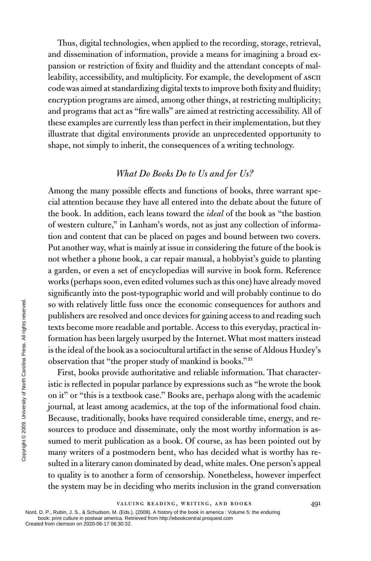Thus, digital technologies, when applied to the recording, storage, retrieval, and dissemination of information, provide a means for imagining a broad expansion or restriction of fixity and fluidity and the attendant concepts of malleability, accessibility, and multiplicity. For example, the development of ASCII code was aimed at standardizing digital texts to improve both fixity and fluidity; encryption programs are aimed, among other things, at restricting multiplicity; and programs that act as "fire walls" are aimed at restricting accessibility. All of these examples are currently less than perfect in their implementation, but they illustrate that digital environments provide an unprecedented opportunity to shape, not simply to inherit, the consequences of a writing technology.

### *What Do Books Do to Us and for Us?*

Among the many possible effects and functions of books, three warrant special attention because they have all entered into the debate about the future of the book. In addition, each leans toward the *ideal* of the book as "the bastion of western culture," in Lanham's words, not as just any collection of information and content that can be placed on pages and bound between two covers. Put another way, what is mainly at issue in considering the future of the book is not whether a phone book, a car repair manual, a hobbyist's guide to planting a garden, or even a set of encyclopedias will survive in book form. Reference works (perhaps soon, even edited volumes such as this one) have already moved significantly into the post-typographic world and will probably continue to do so with relatively little fuss once the economic consequences for authors and publishers are resolved and once devices for gaining access to and reading such texts become more readable and portable. Access to this everyday, practical information has been largely usurped by the Internet. What most matters instead is the ideal of the book as a sociocultural artifact in the sense of Aldous Huxley's observation that "the proper study of mankind is books."21

First, books provide authoritative and reliable information. That characteristic is reflected in popular parlance by expressions such as "he wrote the book on it" or "this is a textbook case." Books are, perhaps along with the academic journal, at least among academics, at the top of the informational food chain. Because, traditionally, books have required considerable time, energy, and resources to produce and disseminate, only the most worthy information is assumed to merit publication as a book. Of course, as has been pointed out by many writers of a postmodern bent, who has decided what is worthy has resulted in a literary canon dominated by dead, white males. One person's appeal to quality is to another a form of censorship. Nonetheless, however imperfect the system may be in deciding who merits inclusion in the grand conversation From comparison on 2020-06-17 06:30:32. Nord, D. P., Rubin, J. S., & Schudson, M. (Eds.)<br>Created from clean Press. Contained the system may be independently all rights respectively.<br>
See the interval of the book as observ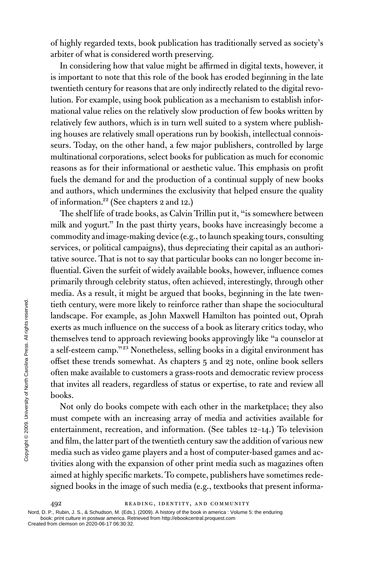of highly regarded texts, book publication has traditionally served as society's arbiter of what is considered worth preserving.

In considering how that value might be affirmed in digital texts, however, it is important to note that this role of the book has eroded beginning in the late twentieth century for reasons that are only indirectly related to the digital revolution. For example, using book publication as a mechanism to establish informational value relies on the relatively slow production of few books written by relatively few authors, which is in turn well suited to a system where publishing houses are relatively small operations run by bookish, intellectual connoisseurs. Today, on the other hand, a few major publishers, controlled by large multinational corporations, select books for publication as much for economic reasons as for their informational or aesthetic value. This emphasis on profit fuels the demand for and the production of a continual supply of new books and authors, which undermines the exclusivity that helped ensure the quality of information.22 (See chapters 2 and 12.)

The shelf life of trade books, as Calvin Trillin put it, "is somewhere between milk and yogurt." In the past thirty years, books have increasingly become a commodity and image-making device (e.g., to launch speaking tours, consulting services, or political campaigns), thus depreciating their capital as an authoritative source. That is not to say that particular books can no longer become influential. Given the surfeit of widely available books, however, influence comes primarily through celebrity status, often achieved, interestingly, through other media. As a result, it might be argued that books, beginning in the late twentieth century, were more likely to reinforce rather than shape the sociocultural landscape. For example, as John Maxwell Hamilton has pointed out, Oprah exerts as much influence on the success of a book as literary critics today, who themselves tend to approach reviewing books approvingly like "a counselor at a self-esteem camp."23 Nonetheless, selling books in a digital environment has offset these trends somewhat. As chapters 5 and 23 note, online book sellers often make available to customers a grass-roots and democratic review process that invites all readers, regardless of status or expertise, to rate and review all books. From clear to the same of the control of the same of the same of the same of the same of the make available to compute  $\frac{2}{5}$  of fset these trends some often make available to compute  $\frac{2}{5}$  books. Not only do books

Not only do books compete with each other in the marketplace; they also must compete with an increasing array of media and activities available for entertainment, recreation, and information. (See tables 12–14.) To television and film, the latter part of the twentieth century saw the addition of various new media such as video game players and a host of computer-based games and activities along with the expansion of other print media such as magazines often aimed at highly specific markets. To compete, publishers have sometimes redesigned books in the image of such media (e.g., textbooks that present informa-

492 READING, IDENTITY, AND COMMUNITY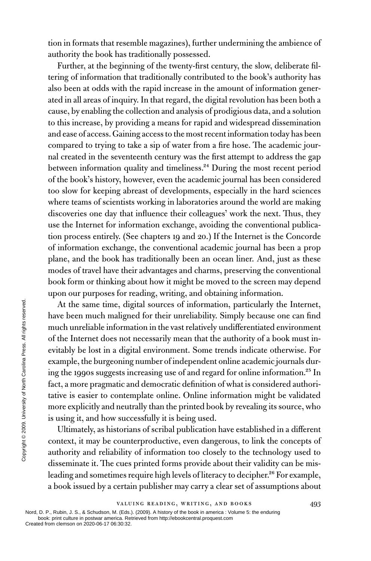tion in formats that resemble magazines), further undermining the ambience of authority the book has traditionally possessed.

Further, at the beginning of the twenty-first century, the slow, deliberate filtering of information that traditionally contributed to the book's authority has also been at odds with the rapid increase in the amount of information generated in all areas of inquiry. In that regard, the digital revolution has been both a cause, by enabling the collection and analysis of prodigious data, and a solution to this increase, by providing a means for rapid and widespread dissemination and ease of access. Gaining access to the most recent information today has been compared to trying to take a sip of water from a fire hose. The academic journal created in the seventeenth century was the first attempt to address the gap between information quality and timeliness.<sup>24</sup> During the most recent period of the book's history, however, even the academic journal has been considered too slow for keeping abreast of developments, especially in the hard sciences where teams of scientists working in laboratories around the world are making discoveries one day that influence their colleagues' work the next. Thus, they use the Internet for information exchange, avoiding the conventional publication process entirely. (See chapters 19 and 20.) If the Internet is the Concorde of information exchange, the conventional academic journal has been a prop plane, and the book has traditionally been an ocean liner. And, just as these modes of travel have their advantages and charms, preserving the conventional book form or thinking about how it might be moved to the screen may depend upon our purposes for reading, writing, and obtaining information.

At the same time, digital sources of information, particularly the Internet, have been much maligned for their unreliability. Simply because one can find much unreliable information in the vast relatively undifferentiated environment of the Internet does not necessarily mean that the authority of a book must inevitably be lost in a digital environment. Some trends indicate otherwise. For example, the burgeoning number of independent online academic journals during the 1990s suggests increasing use of and regard for online information.25 In fact, a more pragmatic and democratic definition of what is considered authoritative is easier to contemplate online. Online information might be validated more explicitly and neutrally than the printed book by revealing its source, who is using it, and how successfully it is being used. Example, the same time, dignominate information of the Internet does not evitably be lost in a digind example, the burgeoning ing the 1990s suggests in fact, a more pragmatic and tative is easier to contenence more explic

Ultimately, as historians of scribal publication have established in a different context, it may be counterproductive, even dangerous, to link the concepts of authority and reliability of information too closely to the technology used to disseminate it. The cues printed forms provide about their validity can be misleading and sometimes require high levels of literacy to decipher.<sup>26</sup> For example, a book issued by a certain publisher may carry a clear set of assumptions about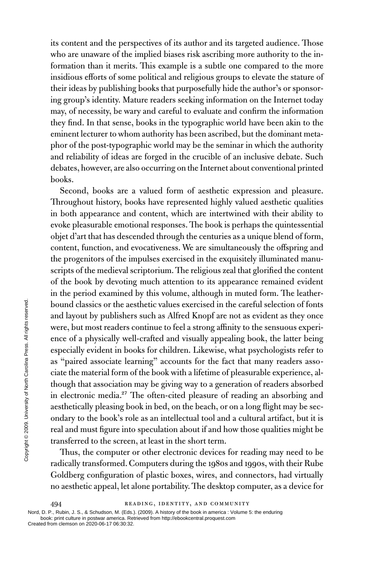its content and the perspectives of its author and its targeted audience. Those who are unaware of the implied biases risk ascribing more authority to the information than it merits. This example is a subtle one compared to the more insidious efforts of some political and religious groups to elevate the stature of their ideas by publishing books that purposefully hide the author's or sponsoring group's identity. Mature readers seeking information on the Internet today may, of necessity, be wary and careful to evaluate and confirm the information they find. In that sense, books in the typographic world have been akin to the eminent lecturer to whom authority has been ascribed, but the dominant metaphor of the post-typographic world may be the seminar in which the authority and reliability of ideas are forged in the crucible of an inclusive debate. Such debates, however, are also occurring on the Internet about conventional printed books.

Second, books are a valued form of aesthetic expression and pleasure. Throughout history, books have represented highly valued aesthetic qualities in both appearance and content, which are intertwined with their ability to evoke pleasurable emotional responses. The book is perhaps the quintessential objet d'art that has descended through the centuries as a unique blend of form, content, function, and evocativeness. We are simultaneously the offspring and the progenitors of the impulses exercised in the exquisitely illuminated manuscripts of the medieval scriptorium. The religious zeal that glorified the content of the book by devoting much attention to its appearance remained evident in the period examined by this volume, although in muted form. The leatherbound classics or the aesthetic values exercised in the careful selection of fonts and layout by publishers such as Alfred Knopf are not as evident as they once were, but most readers continue to feel a strong affinity to the sensuous experience of a physically well-crafted and visually appealing book, the latter being especially evident in books for children. Likewise, what psychologists refer to as "paired associate learning" accounts for the fact that many readers associate the material form of the book with a lifetime of pleasurable experience, although that association may be giving way to a generation of readers absorbed in electronic media.<sup>27</sup> The often-cited pleasure of reading an absorbing and aesthetically pleasing book in bed, on the beach, or on a long flight may be secondary to the book's role as an intellectual tool and a cultural artifact, but it is real and must figure into speculation about if and how those qualities might be transferred to the screen, at least in the short term. From classics or the ae:<br>
and layout by publisher<br>
were, but most readers  $\overline{c}$ <br>
expecially evident in boo<br>
as "paired associate lea<br>
ciate the material form o<br>
though that association<br>
in electronic media.<sup>27</sup> T<br>
aes

Thus, the computer or other electronic devices for reading may need to be radically transformed. Computers during the 1980s and 1990s, with their Rube Goldberg configuration of plastic boxes, wires, and connectors, had virtually no aesthetic appeal, let alone portability. The desktop computer, as a device for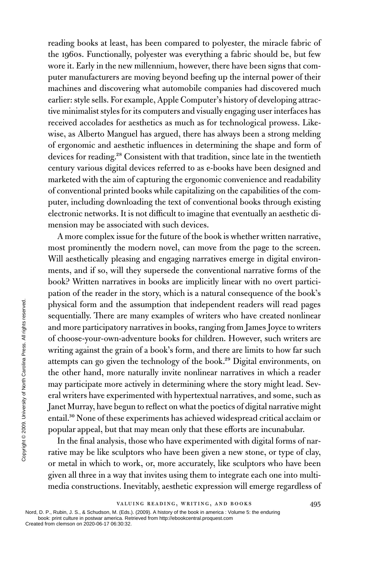reading books at least, has been compared to polyester, the miracle fabric of the 1960s. Functionally, polyester was everything a fabric should be, but few wore it. Early in the new millennium, however, there have been signs that computer manufacturers are moving beyond beefing up the internal power of their machines and discovering what automobile companies had discovered much earlier: style sells. For example, Apple Computer's history of developing attractive minimalist styles for its computers and visually engaging user interfaces has received accolades for aesthetics as much as for technological prowess. Likewise, as Alberto Manguel has argued, there has always been a strong melding of ergonomic and aesthetic influences in determining the shape and form of devices for reading.<sup>28</sup> Consistent with that tradition, since late in the twentieth century various digital devices referred to as e-books have been designed and marketed with the aim of capturing the ergonomic convenience and readability of conventional printed books while capitalizing on the capabilities of the computer, including downloading the text of conventional books through existing electronic networks. It is not difficult to imagine that eventually an aesthetic dimension may be associated with such devices.

A more complex issue for the future of the book is whether written narrative, most prominently the modern novel, can move from the page to the screen. Will aesthetically pleasing and engaging narratives emerge in digital environments, and if so, will they supersede the conventional narrative forms of the book? Written narratives in books are implicitly linear with no overt participation of the reader in the story, which is a natural consequence of the book's physical form and the assumption that independent readers will read pages sequentially. There are many examples of writers who have created nonlinear and more participatory narratives in books, ranging from James Joyce to writers of choose-your-own-adventure books for children. However, such writers are writing against the grain of a book's form, and there are limits to how far such attempts can go given the technology of the book.29 Digital environments, on the other hand, more naturally invite nonlinear narratives in which a reader may participate more actively in determining where the story might lead. Several writers have experimented with hypertextual narratives, and some, such as Janet Murray, have begun to reflect on what the poetics of digital narrative might entail.30 None of these experiments has achieved widespread critical acclaim or popular appeal, but that may mean only that these efforts are incunabular. Example 12 and more participatory of choose-your-own-adv writing against the grain<br>
writing against the grain<br>
tempts can go given the the other hand, more n<br>
may participate more ac<br>
eral writers have experim<br>
Janet Murr

In the final analysis, those who have experimented with digital forms of narrative may be like sculptors who have been given a new stone, or type of clay, or metal in which to work, or, more accurately, like sculptors who have been given all three in a way that invites using them to integrate each one into multimedia constructions. Inevitably, aesthetic expression will emerge regardless of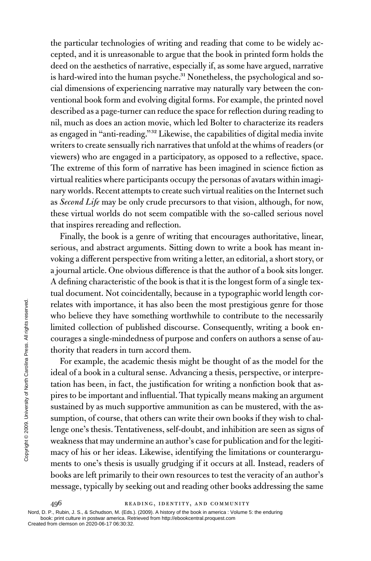the particular technologies of writing and reading that come to be widely accepted, and it is unreasonable to argue that the book in printed form holds the deed on the aesthetics of narrative, especially if, as some have argued, narrative is hard-wired into the human psyche.<sup>31</sup> Nonetheless, the psychological and social dimensions of experiencing narrative may naturally vary between the conventional book form and evolving digital forms. For example, the printed novel described as a page-turner can reduce the space for reflection during reading to nil, much as does an action movie, which led Bolter to characterize its readers as engaged in "anti-reading."32 Likewise, the capabilities of digital media invite writers to create sensually rich narratives that unfold at the whims of readers (or viewers) who are engaged in a participatory, as opposed to a reflective, space. The extreme of this form of narrative has been imagined in science fiction as virtual realities where participants occupy the personas of avatars within imaginary worlds. Recent attempts to create such virtual realities on the Internet such as *Second Life* may be only crude precursors to that vision, although, for now, these virtual worlds do not seem compatible with the so-called serious novel that inspires rereading and reflection.

Finally, the book is a genre of writing that encourages authoritative, linear, serious, and abstract arguments. Sitting down to write a book has meant invoking a different perspective from writing a letter, an editorial, a short story, or a journal article. One obvious difference is that the author of a book sits longer. A defining characteristic of the book is that it is the longest form of a single textual document. Not coincidentally, because in a typographic world length correlates with importance, it has also been the most prestigious genre for those who believe they have something worthwhile to contribute to the necessarily limited collection of published discourse. Consequently, writing a book encourages a single-mindedness of purpose and confers on authors a sense of authority that readers in turn accord them.

For example, the academic thesis might be thought of as the model for the ideal of a book in a cultural sense. Advancing a thesis, perspective, or interpretation has been, in fact, the justification for writing a nonfiction book that aspires to be important and influential. That typically means making an argument sustained by as much supportive ammunition as can be mustered, with the assumption, of course, that others can write their own books if they wish to challenge one's thesis. Tentativeness, self-doubt, and inhibition are seen as signs of weakness that may undermine an author's case for publication and for the legitimacy of his or her ideas. Likewise, identifying the limitations or counterarguments to one's thesis is usually grudging if it occurs at all. Instead, readers of books are left primarily to their own resources to test the veracity of an author's message, typically by seeking out and reading other books addressing the same Example the primarity of this transfer of the same of the same of the same of the same of the same of the same of the same of the same of  $\frac{2}{5}$  and  $\frac{2}{5}$  and  $\frac{2}{5}$  and  $\frac{2}{5}$  and  $\frac{2}{5}$  and  $\frac{2}{5}$  and

496 READING, IDENTITY, AND COMMUNITY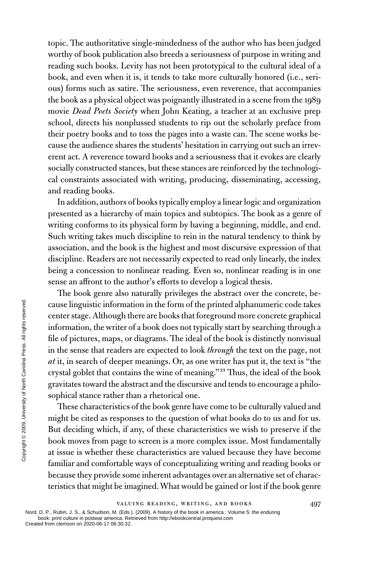topic. The authoritative single-mindedness of the author who has been judged worthy of book publication also breeds a seriousness of purpose in writing and reading such books. Levity has not been prototypical to the cultural ideal of a book, and even when it is, it tends to take more culturally honored (i.e., serious) forms such as satire. The seriousness, even reverence, that accompanies the book as a physical object was poignantly illustrated in a scene from the 1989 movie *Dead Poets Society* when John Keating, a teacher at an exclusive prep school, directs his nonplussed students to rip out the scholarly preface from their poetry books and to toss the pages into a waste can. The scene works because the audience shares the students' hesitation in carrying out such an irreverent act. A reverence toward books and a seriousness that it evokes are clearly socially constructed stances, but these stances are reinforced by the technological constraints associated with writing, producing, disseminating, accessing, and reading books.

In addition, authors of books typically employ a linear logic and organization presented as a hierarchy of main topics and subtopics. The book as a genre of writing conforms to its physical form by having a beginning, middle, and end. Such writing takes much discipline to rein in the natural tendency to think by association, and the book is the highest and most discursive expression of that discipline. Readers are not necessarily expected to read only linearly, the index being a concession to nonlinear reading. Even so, nonlinear reading is in one sense an affront to the author's efforts to develop a logical thesis.

The book genre also naturally privileges the abstract over the concrete, because linguistic information in the form of the printed alphanumeric code takes center stage. Although there are books that foreground more concrete graphical information, the writer of a book does not typically start by searching through a file of pictures, maps, or diagrams. The ideal of the book is distinctly nonvisual in the sense that readers are expected to look *through* the text on the page, not *at* it, in search of deeper meanings. Or, as one writer has put it, the text is "the crystal goblet that contains the wine of meaning."33 Thus, the ideal of the book gravitates toward the abstract and the discursive and tends to encourage a philosophical stance rather than a rhetorical one. Created from clearly and comfortable<br>
Created from clearly and content of deeper<br>  $\frac{2}{3}$  and it, in search of deeper<br>
crystal goblet that conta<br>
gravitates toward the abs<br>
sophical stance rather the These characteristi

These characteristics of the book genre have come to be culturally valued and might be cited as responses to the question of what books do to us and for us. But deciding which, if any, of these characteristics we wish to preserve if the book moves from page to screen is a more complex issue. Most fundamentally at issue is whether these characteristics are valued because they have become familiar and comfortable ways of conceptualizing writing and reading books or because they provide some inherent advantages over an alternative set of characteristics that might be imagined. What would be gained or lost if the book genre

VALUING READING, WRITING, AND BOOKS 497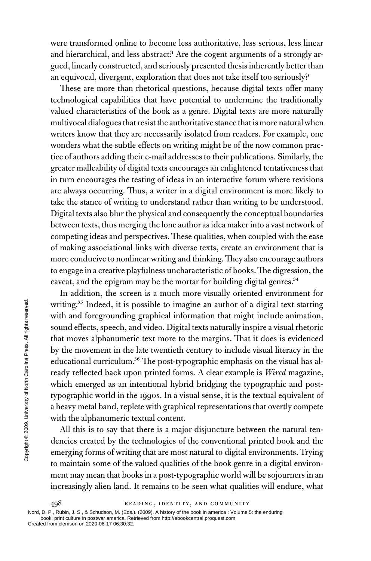were transformed online to become less authoritative, less serious, less linear and hierarchical, and less abstract? Are the cogent arguments of a strongly argued, linearly constructed, and seriously presented thesis inherently better than an equivocal, divergent, exploration that does not take itself too seriously?

These are more than rhetorical questions, because digital texts offer many technological capabilities that have potential to undermine the traditionally valued characteristics of the book as a genre. Digital texts are more naturally multivocal dialogues that resist the authoritative stance that is more natural when writers know that they are necessarily isolated from readers. For example, one wonders what the subtle effects on writing might be of the now common practice of authors adding their e-mail addresses to their publications. Similarly, the greater malleability of digital texts encourages an enlightened tentativeness that in turn encourages the testing of ideas in an interactive forum where revisions are always occurring. Thus, a writer in a digital environment is more likely to take the stance of writing to understand rather than writing to be understood. Digital texts also blur the physical and consequently the conceptual boundaries between texts, thus merging the lone author as idea maker into a vast network of competing ideas and perspectives. These qualities, when coupled with the ease of making associational links with diverse texts, create an environment that is more conducive to nonlinear writing and thinking. They also encourage authors to engage in a creative playfulness uncharacteristic of books. The digression, the caveat, and the epigram may be the mortar for building digital genres.<sup>34</sup>

In addition, the screen is a much more visually oriented environment for writing.<sup>35</sup> Indeed, it is possible to imagine an author of a digital text starting with and foregrounding graphical information that might include animation, sound effects, speech, and video. Digital texts naturally inspire a visual rhetoric that moves alphanumeric text more to the margins. That it does is evidenced by the movement in the late twentieth century to include visual literacy in the educational curriculum.<sup>36</sup> The post-typographic emphasis on the visual has already reflected back upon printed forms. A clear example is *Wired* magazine, which emerged as an intentional hybrid bridging the typographic and posttypographic world in the 1990s. In a visual sense, it is the textual equivalent of a heavy metal band, replete with graphical representations that overtly compete with the alphanumeric textual content. Writing.<sup>35</sup> Indeed, it is p<br>with and foregrounding<br>sound effects, speech, at<br>that moves alphanumer:<br>by the movement in the<br>educational curriculum.<br>ready reflected back up<br>which emerged as an in<br>typographic world in th<br>a

All this is to say that there is a major disjuncture between the natural tendencies created by the technologies of the conventional printed book and the emerging forms of writing that are most natural to digital environments. Trying to maintain some of the valued qualities of the book genre in a digital environment may mean that books in a post-typographic world will be sojourners in an increasingly alien land. It remains to be seen what qualities will endure, what

498 READING, IDENTITY, AND COMMUNITY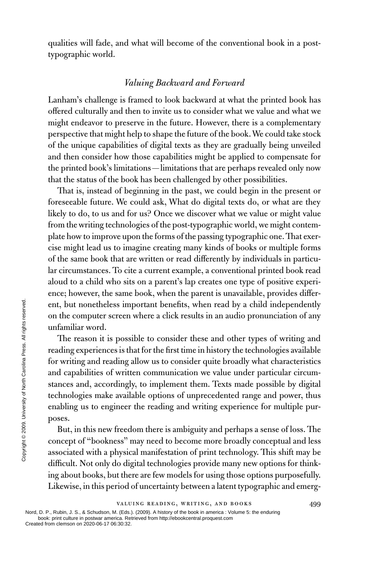qualities will fade, and what will become of the conventional book in a posttypographic world.

#### *Valuing Backward and Forward*

Lanham's challenge is framed to look backward at what the printed book has offered culturally and then to invite us to consider what we value and what we might endeavor to preserve in the future. However, there is a complementary perspective that might help to shape the future of the book. We could take stock of the unique capabilities of digital texts as they are gradually being unveiled and then consider how those capabilities might be applied to compensate for the printed book's limitations—limitations that are perhaps revealed only now that the status of the book has been challenged by other possibilities.

That is, instead of beginning in the past, we could begin in the present or foreseeable future. We could ask, What do digital texts do, or what are they likely to do, to us and for us? Once we discover what we value or might value from the writing technologies of the post-typographic world, we might contemplate how to improve upon the forms of the passing typographic one. That exercise might lead us to imagine creating many kinds of books or multiple forms of the same book that are written or read differently by individuals in particular circumstances. To cite a current example, a conventional printed book read aloud to a child who sits on a parent's lap creates one type of positive experience; however, the same book, when the parent is unavailable, provides different, but nonetheless important benefits, when read by a child independently on the computer screen where a click results in an audio pronunciation of any unfamiliar word.

The reason it is possible to consider these and other types of writing and reading experiences is that for the first time in history the technologies available for writing and reading allow us to consider quite broadly what characteristics and capabilities of written communication we value under particular circumstances and, accordingly, to implement them. Texts made possible by digital technologies make available options of unprecedented range and power, thus enabling us to engineer the reading and writing experience for multiple purposes. Example the computer screen<br>
in the computer screen<br>
unfamiliar word.<br>
The reason it is poss<br>
reading experiences is the<br>
for writing and reading a<br>
and capabilities of writt<br>
stances and, according<br>
technologies make ava

But, in this new freedom there is ambiguity and perhaps a sense of loss. The concept of "bookness" may need to become more broadly conceptual and less associated with a physical manifestation of print technology. This shift may be difficult. Not only do digital technologies provide many new options for thinking about books, but there are few models for using those options purposefully. Likewise, in this period of uncertainty between a latent typographic and emerg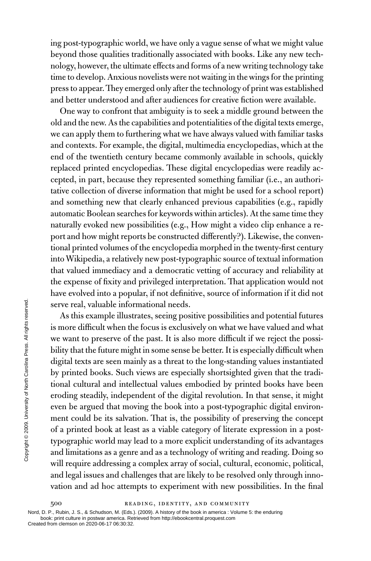ing post-typographic world, we have only a vague sense of what we might value beyond those qualities traditionally associated with books. Like any new technology, however, the ultimate effects and forms of a new writing technology take time to develop. Anxious novelists were not waiting in the wings for the printing press to appear. They emerged only after the technology of print was established and better understood and after audiences for creative fiction were available.

One way to confront that ambiguity is to seek a middle ground between the old and the new. As the capabilities and potentialities of the digital texts emerge, we can apply them to furthering what we have always valued with familiar tasks and contexts. For example, the digital, multimedia encyclopedias, which at the end of the twentieth century became commonly available in schools, quickly replaced printed encyclopedias. These digital encyclopedias were readily accepted, in part, because they represented something familiar (i.e., an authoritative collection of diverse information that might be used for a school report) and something new that clearly enhanced previous capabilities (e.g., rapidly automatic Boolean searches for keywords within articles). At the same time they naturally evoked new possibilities (e.g., How might a video clip enhance a report and how might reports be constructed differently?). Likewise, the conventional printed volumes of the encyclopedia morphed in the twenty-first century into Wikipedia, a relatively new post-typographic source of textual information that valued immediacy and a democratic vetting of accuracy and reliability at the expense of fixity and privileged interpretation. That application would not have evolved into a popular, if not definitive, source of information if it did not serve real, valuable informational needs.

As this example illustrates, seeing positive possibilities and potential futures is more difficult when the focus is exclusively on what we have valued and what we want to preserve of the past. It is also more difficult if we reject the possibility that the future might in some sense be better. It is especially difficult when digital texts are seen mainly as a threat to the long-standing values instantiated by printed books. Such views are especially shortsighted given that the traditional cultural and intellectual values embodied by printed books have been eroding steadily, independent of the digital revolution. In that sense, it might even be argued that moving the book into a post-typographic digital environment could be its salvation. That is, the possibility of preserving the concept of a printed book at least as a viable category of literate expression in a posttypographic world may lead to a more explicit understanding of its advantages and limitations as a genre and as a technology of writing and reading. Doing so will require addressing a complex array of social, cultural, economic, political, and legal issues and challenges that are likely to be resolved only through innovation and ad hoc attempts to experiment with new possibilities. In the final Created from clemson on 2020-06-17 06:30:32. Copyright © 2009. University of North Carolina Press. All rights reserved.

500 READING, IDENTITY, AND COMMUNITY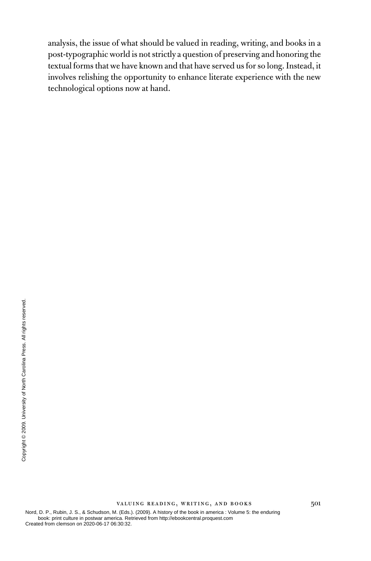analysis, the issue of what should be valued in reading, writing, and books in a post-typographic world is not strictly a question of preserving and honoring the textual forms that we have known and that have served us for so long. Instead, it involves relishing the opportunity to enhance literate experience with the new technological options now at hand.